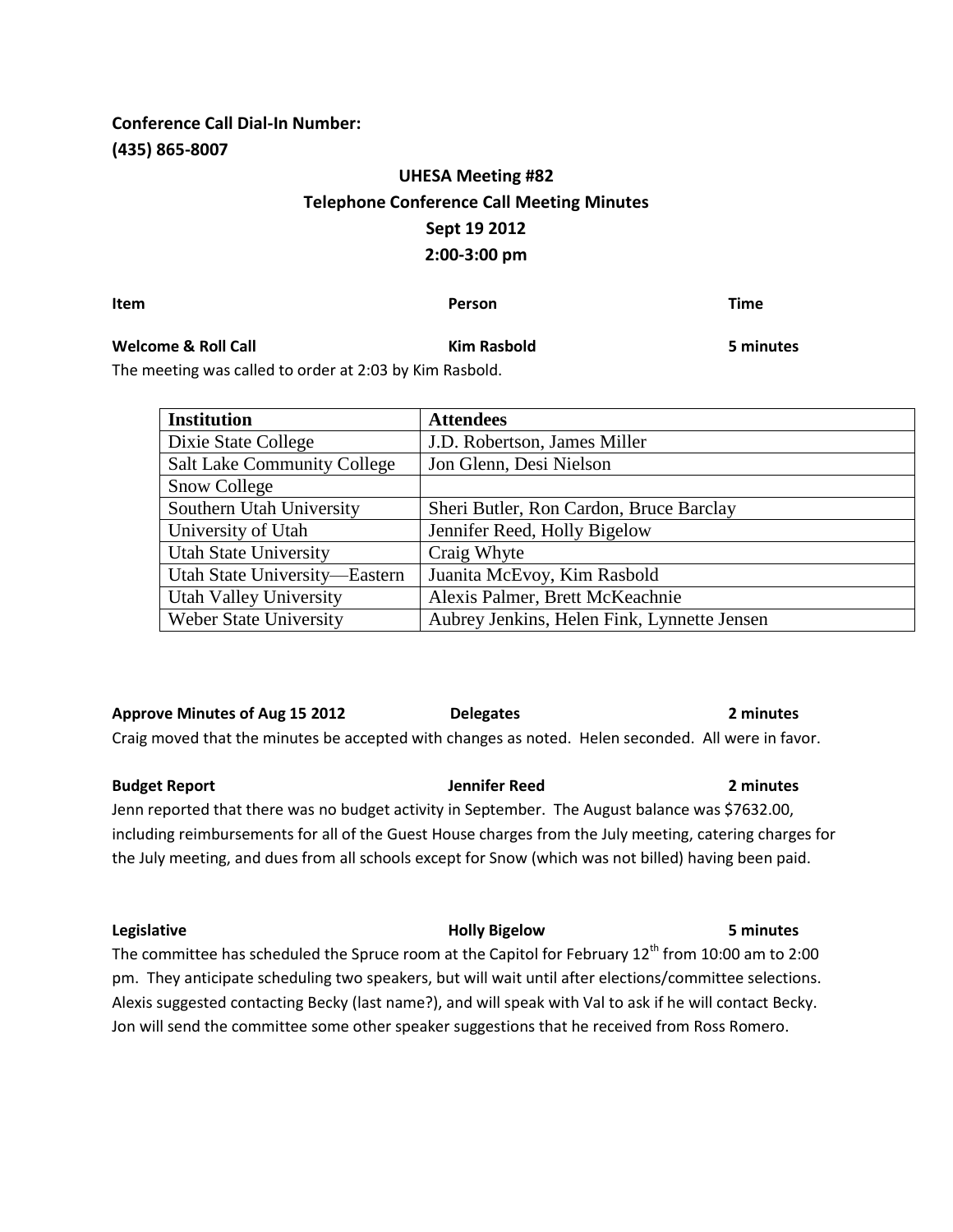**Conference Call Dial-In Number: (435) 865-8007**

# **UHESA Meeting #82 Telephone Conference Call Meeting Minutes Sept 19 2012 2:00-3:00 pm**

**Item Person Time**

## **Welcome & Roll Call Kim Rasbold 5 minutes**

The meeting was called to order at 2:03 by Kim Rasbold.

| J IIIIIULCJ |  |
|-------------|--|
|             |  |
|             |  |

**Institution Attendees** Dixie State College J.D. Robertson, James Miller Salt Lake Community College | Jon Glenn, Desi Nielson Snow College Southern Utah University Sheri Butler, Ron Cardon, Bruce Barclay University of Utah Jennifer Reed, Holly Bigelow Utah State University | Craig Whyte Utah State University—Eastern | Juanita McEvoy, Kim Rasbold Utah Valley University | Alexis Palmer, Brett McKeachnie Weber State University Aubrey Jenkins, Helen Fink, Lynnette Jensen

**Approve Minutes of Aug 15 2012 Delegates 2 minutes** Craig moved that the minutes be accepted with changes as noted. Helen seconded. All were in favor.

**Budget Report Jennifer Reed 2 minutes** Jenn reported that there was no budget activity in September. The August balance was \$7632.00, including reimbursements for all of the Guest House charges from the July meeting, catering charges for the July meeting, and dues from all schools except for Snow (which was not billed) having been paid.

**Legislative Holly Bigelow 5 minutes** The committee has scheduled the Spruce room at the Capitol for February  $12^{th}$  from 10:00 am to 2:00 pm. They anticipate scheduling two speakers, but will wait until after elections/committee selections. Alexis suggested contacting Becky (last name?), and will speak with Val to ask if he will contact Becky. Jon will send the committee some other speaker suggestions that he received from Ross Romero.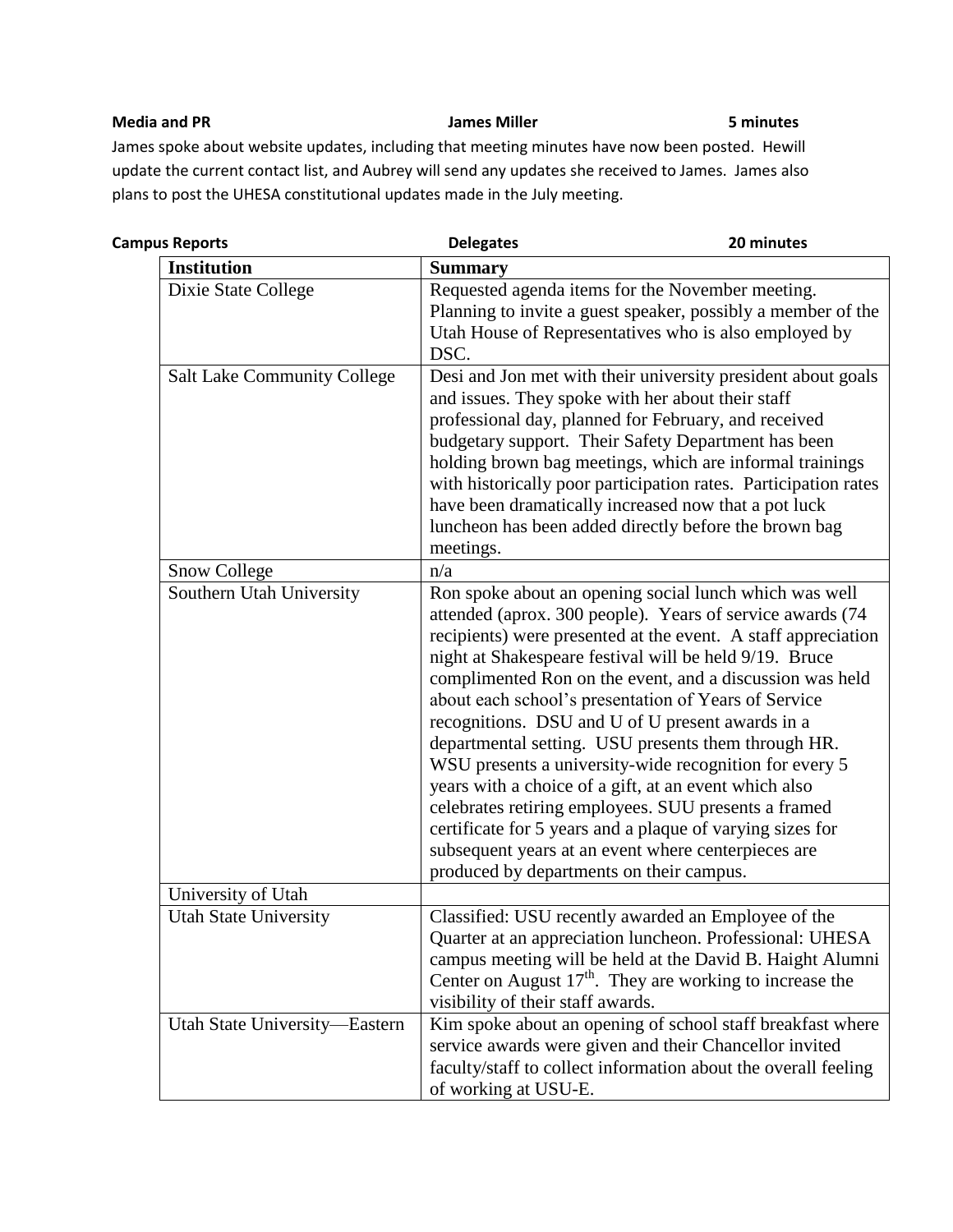### **Media and PR James Miller 5 minutes**

James spoke about website updates, including that meeting minutes have now been posted. Hewill update the current contact list, and Aubrey will send any updates she received to James. James also plans to post the UHESA constitutional updates made in the July meeting.

| <b>Campus Reports</b>              | <b>Delegates</b>                         | 20 minutes                                                                                                                                                                                                                                                                                                                                                                                                                                                                                                                                                                                                                                                                                                                                                                   |
|------------------------------------|------------------------------------------|------------------------------------------------------------------------------------------------------------------------------------------------------------------------------------------------------------------------------------------------------------------------------------------------------------------------------------------------------------------------------------------------------------------------------------------------------------------------------------------------------------------------------------------------------------------------------------------------------------------------------------------------------------------------------------------------------------------------------------------------------------------------------|
| <b>Institution</b>                 | <b>Summary</b>                           |                                                                                                                                                                                                                                                                                                                                                                                                                                                                                                                                                                                                                                                                                                                                                                              |
| Dixie State College                | DSC.                                     | Requested agenda items for the November meeting.<br>Planning to invite a guest speaker, possibly a member of the<br>Utah House of Representatives who is also employed by                                                                                                                                                                                                                                                                                                                                                                                                                                                                                                                                                                                                    |
| <b>Salt Lake Community College</b> | meetings.                                | Desi and Jon met with their university president about goals<br>and issues. They spoke with her about their staff<br>professional day, planned for February, and received<br>budgetary support. Their Safety Department has been<br>holding brown bag meetings, which are informal trainings<br>with historically poor participation rates. Participation rates<br>have been dramatically increased now that a pot luck<br>luncheon has been added directly before the brown bag                                                                                                                                                                                                                                                                                             |
| <b>Snow College</b>                | n/a                                      |                                                                                                                                                                                                                                                                                                                                                                                                                                                                                                                                                                                                                                                                                                                                                                              |
| Southern Utah University           | produced by departments on their campus. | Ron spoke about an opening social lunch which was well<br>attended (aprox. 300 people). Years of service awards (74<br>recipients) were presented at the event. A staff appreciation<br>night at Shakespeare festival will be held 9/19. Bruce<br>complimented Ron on the event, and a discussion was held<br>about each school's presentation of Years of Service<br>recognitions. DSU and U of U present awards in a<br>departmental setting. USU presents them through HR.<br>WSU presents a university-wide recognition for every 5<br>years with a choice of a gift, at an event which also<br>celebrates retiring employees. SUU presents a framed<br>certificate for 5 years and a plaque of varying sizes for<br>subsequent years at an event where centerpieces are |
| University of Utah                 |                                          |                                                                                                                                                                                                                                                                                                                                                                                                                                                                                                                                                                                                                                                                                                                                                                              |
| <b>Utah State University</b>       | visibility of their staff awards.        | Classified: USU recently awarded an Employee of the<br>Quarter at an appreciation luncheon. Professional: UHESA<br>campus meeting will be held at the David B. Haight Alumni<br>Center on August $17th$ . They are working to increase the                                                                                                                                                                                                                                                                                                                                                                                                                                                                                                                                   |
| Utah State University-Eastern      | of working at USU-E.                     | Kim spoke about an opening of school staff breakfast where<br>service awards were given and their Chancellor invited<br>faculty/staff to collect information about the overall feeling                                                                                                                                                                                                                                                                                                                                                                                                                                                                                                                                                                                       |